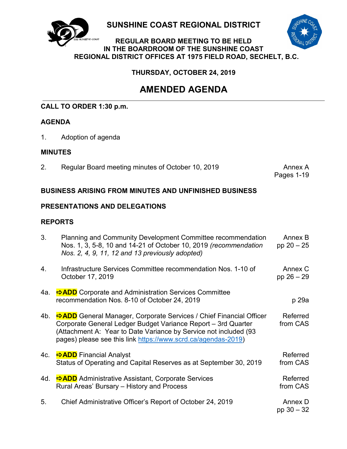

**SUNSHINE COAST REGIONAL DISTRICT**



### **REGULAR BOARD MEETING TO BE HELD IN THE BOARDROOM OF THE SUNSHINE COAST REGIONAL DISTRICT OFFICES AT 1975 FIELD ROAD, SECHELT, B.C.**

**THURSDAY, OCTOBER 24, 2019**

# **AMENDED AGENDA**

## **CALL TO ORDER 1:30 p.m.**

### **AGENDA**

1. Adoption of agenda

### **MINUTES**

2. Regular Board meeting minutes of October 10, 2019 Annex A

Pages 1-19

### **BUSINESS ARISING FROM MINUTES AND UNFINISHED BUSINESS**

### **PRESENTATIONS AND DELEGATIONS**

### **REPORTS**

| 3.  | Planning and Community Development Committee recommendation<br>Nos. 1, 3, 5-8, 10 and 14-21 of October 10, 2019 (recommendation<br>Nos. 2, 4, 9, 11, 12 and 13 previously adopted)                                                                                      | Annex B<br>pp $20 - 25$ |
|-----|-------------------------------------------------------------------------------------------------------------------------------------------------------------------------------------------------------------------------------------------------------------------------|-------------------------|
| 4.  | Infrastructure Services Committee recommendation Nos. 1-10 of<br>October 17, 2019                                                                                                                                                                                       | Annex C<br>pp $26 - 29$ |
| 4a. | <b>⇒ADD</b> Corporate and Administration Services Committee<br>recommendation Nos. 8-10 of October 24, 2019                                                                                                                                                             | p 29a                   |
| 4b. | ADD General Manager, Corporate Services / Chief Financial Officer<br>Corporate General Ledger Budget Variance Report - 3rd Quarter<br>(Attachment A: Year to Date Variance by Service not included (93<br>pages) please see this link https://www.scrd.ca/agendas-2019) | Referred<br>from CAS    |
| 4c. | <b><math>\rightarrow</math> ADD</b> Financial Analyst<br>Status of Operating and Capital Reserves as at September 30, 2019                                                                                                                                              | Referred<br>from CAS    |
| 4d. | ADD Administrative Assistant, Corporate Services<br>Rural Areas' Bursary – History and Process                                                                                                                                                                          | Referred<br>from CAS    |
| 5.  | Chief Administrative Officer's Report of October 24, 2019                                                                                                                                                                                                               | Annex D<br>pp $30 - 32$ |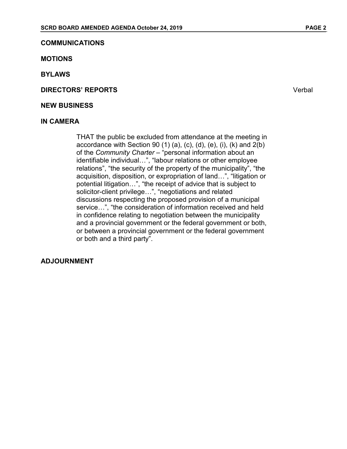#### **COMMUNICATIONS**

#### **MOTIONS**

**BYLAWS**

**DIRECTORS' REPORTS** Verbal

#### **NEW BUSINESS**

#### **IN CAMERA**

THAT the public be excluded from attendance at the meeting in accordance with Section 90 (1) (a), (c), (d), (e), (i), (k) and 2(b) of the *Community Charter* – "personal information about an identifiable individual…", "labour relations or other employee relations", "the security of the property of the municipality", "the acquisition, disposition, or expropriation of land…", "litigation or potential litigation…", "the receipt of advice that is subject to solicitor-client privilege…", "negotiations and related discussions respecting the proposed provision of a municipal service…", "the consideration of information received and held in confidence relating to negotiation between the municipality and a provincial government or the federal government or both, or between a provincial government or the federal government or both and a third party".

#### **ADJOURNMENT**